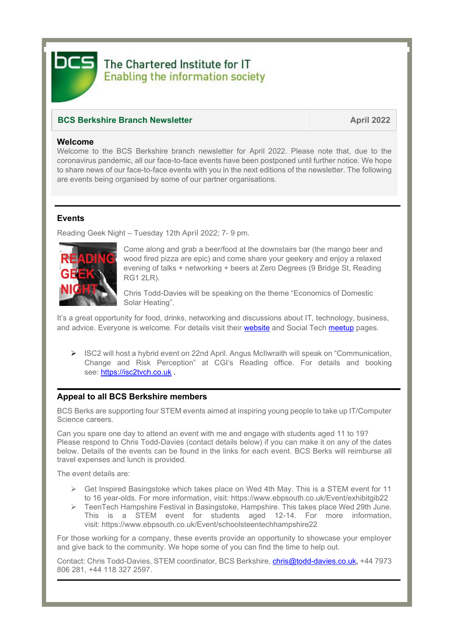

# The Chartered Institute for IT **Enabling the information society**

# **BCS Berkshire Branch Newsletter April 2022**

## **Welcome**

Welcome to the BCS Berkshire branch newsletter for April 2022. Please note that, due to the coronavirus pandemic, all our face-to-face events have been postponed until further notice. We hope to share news of our face-to-face events with you in the next editions of the newsletter. The following are events being organised by some of our partner organisations.

# **Events**

Reading Geek Night – Tuesday 12th April 2022; 7- 9 pm.



Come along and grab a beer/food at the downstairs bar (the mango beer and wood fired pizza are epic) and come share your geekery and enjoy a relaxed evening of talks + networking + beers at Zero Degrees (9 Bridge St, Reading RG1 2LR).

Chris Todd-Davies will be speaking on the theme "Economics of Domestic Solar Heating".

It's a great opportunity for food, drinks, networking and discussions about IT, technology, business, and advice. Everyone is welcome. For details visit their [website](https://rdggeeknight.wordpress.com/) and [Social Tech meetup](https://www.meetup.com/socialtechgroup/) pages.

➢ ISC2 will host a hybrid event on 22nd April. Angus McIlwraith will speak on "Communication, Change and Risk Perception" at CGI's Reading office. For details and booking see: [https://isc2tvch.co.uk](https://isc2tvch.co.uk/)

# **Appeal to all BCS Berkshire members**

BCS Berks are supporting four STEM events aimed at inspiring young people to take up IT/Computer Science careers.

Can you spare one day to attend an event with me and engage with students aged 11 to 19? Please respond to Chris Todd-Davies (contact details below) if you can make it on any of the dates below. Details of the events can be found in the links for each event. BCS Berks will reimburse all travel expenses and lunch is provided.

The event details are:

- $\triangleright$  Get Inspired Basingstoke which takes place on Wed 4th May. This is a STEM event for 11 to 16 year-olds. For more information, visit: <https://www.ebpsouth.co.uk/Event/exhibitgib22>
- ➢ TeenTech Hampshire Festival in Basingstoke, Hampshire. This takes place Wed 29th June. This is a STEM event for students aged 12-14. For more information, visit: <https://www.ebpsouth.co.uk/Event/schoolsteentechhampshire22>

For those working for a company, these events provide an opportunity to showcase your employer and give back to the community. We hope some of you can find the time to help out.

Contact: Chris Todd-Davies, STEM coordinator, BCS Berkshire, [chris@todd-davies.co.uk,](mailto:chris@todd-davies.co.uk) +44 7973 806 281, +44 118 327 2597.